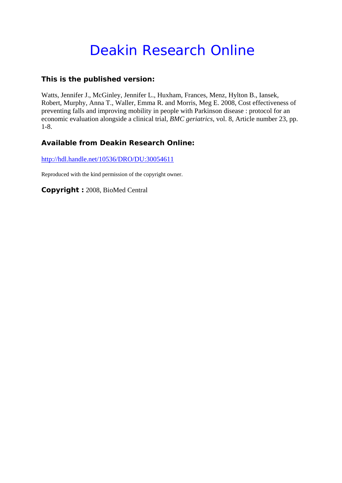# Deakin Research Online

# **This is the published version:**

Watts, Jennifer J., McGinley, Jennifer L., Huxham, Frances, Menz, Hylton B., Iansek, Robert, Murphy, Anna T., Waller, Emma R. and Morris, Meg E. 2008, Cost effectiveness of preventing falls and improving mobility in people with Parkinson disease : protocol for an economic evaluation alongside a clinical trial*, BMC geriatrics*, vol. 8, Article number 23, pp. 1-8.

# **Available from Deakin Research Online:**

http://hdl.handle.net/10536/DRO/DU:30054611

Reproduced with the kind permission of the copyright owner.

**Copyright :** 2008, BioMed Central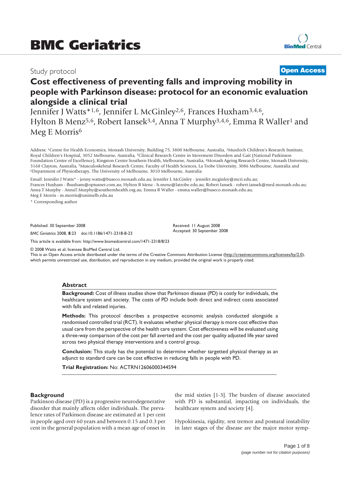**BioMed** Central

# Study protocol **Open Access**

# **Cost effectiveness of preventing falls and improving mobility in people with Parkinson disease: protocol for an economic evaluation alongside a clinical trial**

Jennifer J Watts\*1,6, Jennifer L McGinley<sup>2,6</sup>, Frances Huxham<sup>3,4,6</sup>, Hylton B Menz<sup>5,6</sup>, Robert Iansek<sup>3,4</sup>, Anna T Murphy<sup>3,4,6</sup>, Emma R Waller<sup>1</sup> and Meg E Morris<sup>6</sup>

Address: 1Centre for Health Economics, Monash University, Building 75, 3800 Melbourne, Australia, 2Murdoch Children's Research Institute, Royal Children's Hospital, 3052 Melbourne, Australia, 3Clinical Research Centre in Movement Disorders and Gait (National Parkinson Foundation Centre of Excellence), Kingston Centre Southern Health, Melbourne, Australia, 4Monash Ageing Research Centre, Monash University, 3168 Clayton, Australia, <sup>5</sup>Musculoskeletal Research Centre, Faculty of Health Sciences, La Trobe University, 3086 Melbourne, Australia and <sup>6</sup>Department of Physiotherapy, The University of Melbourne, 3010 Melbourne, Austr

Email: Jennifer J Watts\* - jenny.watts@buseco.monash.edu.au; Jennifer L McGinley - jennifer.mcginley@mcri.edu.au; Frances Huxham - fhuxham@optusnet.com.au; Hylton B Menz - h.menz@latrobe.edu.au; Robert Iansek - robert.iansek@med.monash.edu.au; Anna T Murphy - AnnaT.Murphy@southernhealth.org.au; Emma R Waller - emma.waller@buseco.monash.edu.au; Meg E Morris - m.morris@unimelb.edu.au

\* Corresponding author

Published: 30 September 2008

*BMC Geriatrics* 2008, **8**:23 doi:10.1186/1471-2318-8-23

Received: 11 August 2008 Accepted: 30 September 2008

This article is available from: http://www.biomedcentral.com/1471-2318/8/23

© 2008 Watts et al; licensee BioMed Central Ltd.

This is an Open Access article distributed under the terms of the Creative Commons Attribution License (http://creativecommons.org/licenses/by/2.0), which permits unrestricted use, distribution, and reproduction in any medium, provided the original work is properly cited.

#### **Abstract**

**Background:** Cost of illness studies show that Parkinson disease (PD) is costly for individuals, the healthcare system and society. The costs of PD include both direct and indirect costs associated with falls and related injuries.

**Methods:** This protocol describes a prospective economic analysis conducted alongside a randomised controlled trial (RCT). It evaluates whether physical therapy is more cost effective than usual care from the perspective of the health care system. Cost effectiveness will be evaluated using a three-way comparison of the cost per fall averted and the cost per quality adjusted life year saved across two physical therapy interventions and a control group.

**Conclusion:** This study has the potential to determine whether targetted physical therapy as an adjunct to standard care can be cost effective in reducing falls in people with PD.

**Trial Registration:** No: ACTRN12606000344594

#### **Background**

Parkinson disease (PD) is a progressive neurodegenerative disorder that mainly affects older individuals. The prevalence rates of Parkinson disease are estimated at 1 per cent in people aged over 60 years and between 0.15 and 0.3 per cent in the general population with a mean age of onset in the mid sixties [1-3]. The burden of disease associated with PD is substantial, impacting on individuals, the healthcare system and society [4].

Hypokinesia, rigidity, rest tremor and postural instability in later stages of the disease are the major motor symp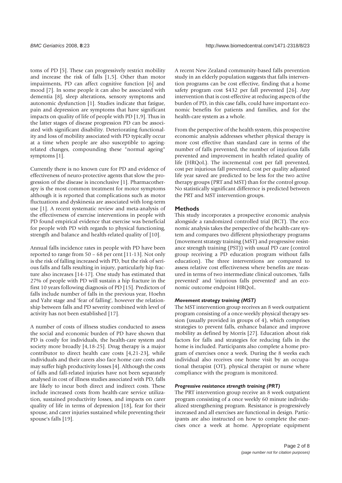toms of PD [5]. These can progressively restrict mobility and increase the risk of falls [1,5]. Other than motor impairments, PD can affect cognitive function [6] and mood [7]. In some people it can also be associated with dementia [8], sleep alterations, sensory symptoms and autonomic dysfunction [1]. Studies indicate that fatigue, pain and depression are symptoms that have significant impacts on quality of life of people with PD [1,9]. Thus in the latter stages of disease progression PD can be associated with significant disability. Deteriorating functionality and loss of mobility associated with PD typically occur at a time when people are also susceptible to ageingrelated changes, compounding these "normal ageing" symptoms [1].

Currently there is no known cure for PD and evidence of effectiveness of neuro-protective agents that slow the progression of the disease is inconclusive [1]. Pharmacotherapy is the most common treatment for motor symptoms although it is reported that complications such as motor fluctuations and dyskinesia are associated with long-term use [1]. A recent systematic review and meta-analysis of the effectiveness of exercise interventions in people with PD found empirical evidence that exercise was beneficial for people with PD with regards to physical functioning, strength and balance and health-related quality of [10].

Annual falls incidence rates in people with PD have been reported to range from 50 – 68 per cent [11-13]. Not only is the risk of falling increased with PD, but the risk of serious falls and falls resulting in injury, particularly hip fracture also increases [14-17]. One study has estimated that 27% of people with PD will sustain a hip fracture in the first 10 years following diagnosis of PD [15]. Predictors of falls include number of falls in the previous year, Hoehn and Yahr stage and 'fear of falling', however the relationship between falls and PD severity combined with level of activity has not been established [17].

A number of costs of illness studies conducted to assess the social and economic burden of PD have shown that PD is costly for individuals, the health-care system and society more broadly [4,18-25]. Drug therapy is a major contributor to direct health care costs [4,21-23], while individuals and their carers also face home care costs and may suffer high productivity losses [4]. Although the costs of falls and fall-related injuries have not been separately analysed in cost of illness studies associated with PD, falls are likely to incur both direct and indirect costs. These include increased costs from health-care service utilization, sustained productivity losses, and impacts on carer quality of life in terms of depression [18], fear for their spouse, and carer injuries sustained while preventing their spouse's falls [19].

A recent New Zealand community-based falls prevention study in an elderly population suggests that falls intervention programs can be cost effective, finding that a home safety program cost \$432 per fall prevented [26]. Any intervention that is cost-effective at reducing aspects of the burden of PD, in this case falls, could have important economic benefits for patients and families, and for the health-care system as a whole.

From the perspective of the health system, this prospective economic analysis addresses whether physical therapy is more cost effective than standard care in terms of the number of falls prevented, the number of injurious falls prevented and improvement in health related quality of life (HRQoL). The incremental cost per fall prevented, cost per injurious fall prevented, cost per quality adjusted life year saved are predicted to be less for the two active therapy groups (PRT and MST) than for the control group. No statistically significant difference is predicted between the PRT and MST intervention groups.

#### **Methods**

This study incorporates a prospective economic analysis alongside a randomized controlled trial (RCT). The economic analysis takes the perspective of the health-care system and compares two different physiotherapy programs (movement strategy training (MST) and progressive resistance strength training (PST)) with usual PD care (control group receiving a PD education program without falls education). The three interventions are compared to assess relative cost effectiveness where benefits are measured in terms of two intermediate clinical outcomes, 'falls prevented' and 'injurious falls prevented' and an economic outcome endpoint HRQoL.

#### *Movement strategy training (MST)*

The MST intervention group receives an 8 week outpatient program consisting of a once-weekly physical therapy session (usually provided in groups of 4), which comprises strategies to prevent falls, enhance balance and improve mobility as defined by Morris [27]. Education about risk factors for falls and strategies for reducing falls in the home is included. Participants also complete a home program of exercises once a week. During the 8 weeks each individual also receives one home visit by an occupational therapist (OT), physical therapist or nurse where compliance with the program is monitored.

#### *Progressive resistance strength training (PRT)*

The PRT intervention group receive an 8 week outpatient program consisting of a once weekly 60 minute individualized strengthening program. Resistance is progressively increased and all exercises are functional in design. Participants are also instructed on how to complete the exercises once a week at home. Appropriate equipment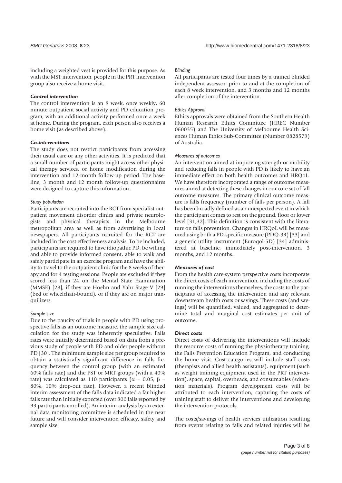including a weighted vest is provided for this purpose. As with the MST intervention, people in the PRT intervention group also receive a home visit.

#### *Control intervention*

The control intervention is an 8 week, once weekly, 60 minute outpatient social activity and PD education program, with an additional activity performed once a week at home. During the program, each person also receives a home visit (as described above).

#### *Co-interventions*

The study does not restrict participants from accessing their usual care or any other activities. It is predicted that a small number of participants might access other physical therapy services, or home modification during the intervention and 12-month follow-up period. The baseline, 3 month and 12 month follow-up questionnaires were designed to capture this information.

#### *Study population*

Participants are recruited into the RCT from specialist outpatient movement disorder clinics and private neurologists and physical therapists in the Melbourne metropolitan area as well as from advertising in local newspapers. All participants recruited for the RCT are included in the cost effectiveness analysis. To be included, participants are required to have idiopathic PD, be willing and able to provide informed consent, able to walk and safely participate in an exercise program and have the ability to travel to the outpatient clinic for the 8 weeks of therapy and for 4 testing sessions. People are excluded if they scored less than 24 on the Mental State Examination (MMSE) [28], if they are Hoehn and Yahr Stage V [29] (bed or wheelchair-bound), or if they are on major tranquilizers.

#### *Sample size*

Due to the paucity of trials in people with PD using prospective falls as an outcome measure, the sample size calculation for the study was inherently speculative. Falls rates were initially determined based on data from a previous study of people with PD and older people without PD [30]. The minimum sample size per group required to obtain a statistically significant difference in falls frequency between the control group (with an estimated 60% falls rate) and the PST or MRT groups (with a 40% rate) was calculated as 110 participants ( $\alpha = 0.05$ ,  $\beta =$ 80%, 10% drop-out rate). However, a recent blinded interim assessment of the falls data indicated a far higher falls rate than initially expected (over 800 falls reported by 93 participants enrolled). An interim analysis by an external data monitoring committee is scheduled in the near future and will consider intervention efficacy, safety and sample size.

#### *Blinding*

All participants are tested four times by a trained blinded independent assessor: prior to and at the completion of each 8 week intervention, and 3 months and 12 months after completion of the intervention.

#### *Ethics Approval*

Ethics approvals were obtained from the Southern Health Human Research Ethics Committee (HREC Number 060035) and The University of Melbourne Health Sciences Human Ethics Sub-Committee (Number 0828579) of Australia.

#### *Measures of outcomes*

An intervention aimed at improving strength or mobility and reducing falls in people with PD is likely to have an immediate effect on both health outcomes and HRQoL. We have therefore incorporated a range of outcome measures aimed at detecting these changes in our core set of fall outcome measures. The primary clinical outcome measure is falls frequency (number of falls per person). A fall has been broadly defined as an unexpected event in which the participant comes to rest on the ground, floor or lower level [31,32]. This definition is consistent with the literature on falls prevention. Changes in HRQoL will be measured using both a PD-specific measure (PDQ-39) [33] and a generic utility instrument (Euroqol-5D) [34] administered at baseline, immediately post-intervention, 3 months, and 12 months.

#### *Measures of cost*

From the health care-system perspective costs incorporate the direct costs of each intervention, including the costs of running the interventions themselves, the costs to the participants of accessing the intervention and any relevant downstream health costs or savings. These costs (and savings) will be quantified, valued, and aggregated to determine total and marginal cost estimates per unit of outcome.

#### *Direct costs*

Direct costs of delivering the interventions will include the resource costs of running the physiotherapy training, the Falls Prevention Education Program, and conducting the home visit. Cost categories will include staff costs (therapists and allied health assistants), equipment (such as weight training equipment used in the PRT intervention), space, capital, overheads, and consumables (education materials). Program development costs will be attributed to each intervention, capturing the costs of training staff to deliver the interventions and developing the intervention protocols.

The costs/savings of health services utilization resulting from events relating to falls and related injuries will be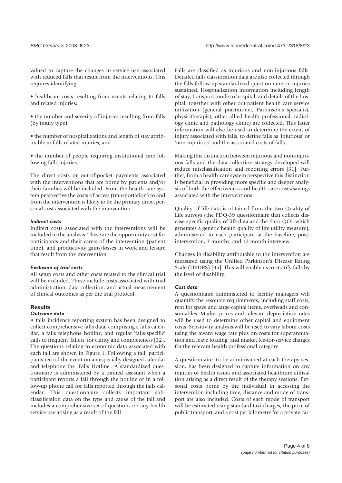valued to capture the changes in service use associated with reduced falls that result from the interventions. This requires identifying:

- healthcare costs resulting from events relating to falls and related injuries;
- the number and severity of injuries resulting from falls (by injury type);
- the number of hospitalizations and length of stay attributable to falls related injuries; and
- the number of people requiring institutional care following falls injuries.

The direct costs or out-of-pocket payments associated with the interventions that are borne by patients and/or their families will be included. From the health care system perspective the costs of access (transportation) to and from the intervention is likely to be the primary direct personal cost associated with the intervention.

#### *Indirect costs*

Indirect costs associated with the interventions will be included in the analysis. These are the opportunity cost for participants and their carers of the intervention (patient time), and productivity gains/losses in work and leisure that result from the intervention.

#### *Exclusion of trial costs*

All setup costs and other costs related to the clinical trial will be excluded. These include costs associated with trial administration, data collection, and actual measurement of clinical outcomes as per the trial protocol.

#### **Results**

#### *Outcome data*

A falls incidence reporting system has been designed to collect comprehensive falls data, comprising a falls calendar, a falls telephone hotline, and regular 'falls-specific' calls to frequent 'fallers' for clarity and completeness [32]. The questions relating to economic data associated with each fall are shown in Figure 1. Following a fall, participants record the event on an especially designed calendar and telephone the 'Falls Hotline'. A standardized questionnaire is administered by a trained assistant when a participant reports a fall through the hotline or in a follow-up phone call for falls reported through the falls calendar. This questionnaire collects important subclassification data on the type and cause of the fall and includes a comprehensive set of questions on any health service use arising as a result of the fall.

Falls are classified as injurious and non-injurious falls. Detailed falls classification data are also collected through the falls follow-up standardized questionnaire on injuries sustained. Hospitalization information including length of stay, transport mode to hospital, and details of the hospital, together with other out-patient health care service utilization (general practitioner, Parkinson's specialist, physiotherapist, other allied health professional, radiology clinic and pathology clinic) are collected. This latter information will also be used to determine the extent of injury associated with falls, to define falls as 'injurious' or 'non-injurious' and the associated costs of falls.

Making this distinction between injurious and non-injurious falls and the data collection strategy developed will reduce misclassification and reporting errors [31]. Further, from a health-care system perspective this distinction is beneficial in providing more specific and deeper analysis of both the effectiveness and health-care costs/savings associated with the interventions.

Quality of life data is obtained from the two Quality of Life surveys (the PDQ-39 questionnaire that collects disease-specific quality of life data and the Euro-QOL which generates a generic health quality of life utility measure), administered to each participant at the baseline, postintervention, 3 months, and 12 month interview.

Changes in disability attributable to the intervention are measured using the Unified Parkinson's Disease Rating Scale (UPDRS) [35]. This will enable us to stratify falls by the level of disability.

#### *Cost data*

A questionnaire administered to facility managers will quantify the resource requirements, including staff costs, rent for space and large capital items, overheads and consumables. Market prices and relevant depreciation rates will be used to determine other capital and equipment costs. Sensitivity analysis will be used to vary labour costs using the award wage rate plus on-costs for superannuation and leave loading, and market fee-for-service charges for the relevant health professional category.

A questionnaire, to be administered at each therapy session, has been designed to capture information on any injuries or health issues and associated healthcare utilisation arising as a direct result of the therapy sessions. Personal costs borne by the individual in accessing the intervention including time, distance and mode of transport are also included. Costs of each mode of transport will be estimated using standard taxi charges, the price of public transport, and a cost per kilometre for a private car.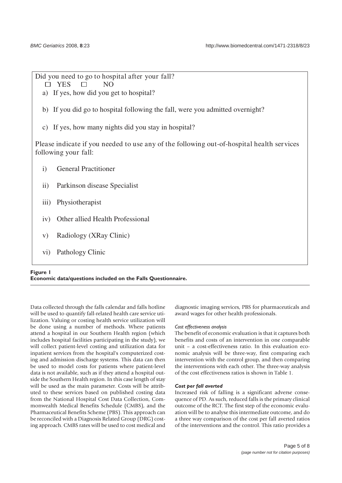|  |  | Did you need to go to hospital after your fall? |  |  |
|--|--|-------------------------------------------------|--|--|
|  |  |                                                 |  |  |

 $\Box$  YES  $\Box$  NO

a) If yes, how did you get to hospital?

b) If you did go to hospital following the fall, were you admitted overnight?

c) If yes, how many nights did you stay in hospital?

Please indicate if you needed to use any of the following out-of-hospital health services following your fall:

- i) General Practitioner
- ii) Parkinson disease Specialist
- iii) Physiotherapist
- iv) Other allied Health Professional
- v) Radiology (XRay Clinic)
- vi) Pathology Clinic

### **Figure 1 Economic data/questions included on the Falls Questionnaire.**

Data collected through the falls calendar and falls hotline will be used to quantify fall-related health care service utilization. Valuing or costing health service utilization will be done using a number of methods. Where patients attend a hospital in our Southern Health region (which includes hospital facilities participating in the study), we will collect patient-level costing and utilization data for inpatient services from the hospital's computerized costing and admission discharge systems. This data can then be used to model costs for patients where patient-level data is not available, such as if they attend a hospital outside the Southern Health region. In this case length of stay will be used as the main parameter. Costs will be attributed to these services based on published costing data from the National Hospital Cost Data Collection, Commonwealth Medical Benefits Schedule (CMBS), and the Pharmaceutical Benefits Scheme (PBS). This approach can be reconciled with a Diagnosis Related Group (DRG) costing approach. CMBS rates will be used to cost medical and

diagnostic imaging services, PBS for pharmaceuticals and award wages for other health professionals.

#### *Cost effectiveness analysis*

The benefit of economic evaluation is that it captures both benefits and costs of an intervention in one comparable unit – a cost-effectiveness ratio. In this evaluation economic analysis will be three-way, first comparing each intervention with the control group, and then comparing the interventions with each other. The three-way analysis of the cost effectiveness ratios is shown in Table 1.

#### *Cost per fall averted*

Increased risk of falling is a significant adverse consequence of PD. As such, reduced falls is the primary clinical outcome of the RCT. The first step of the economic evaluation will be to analyse this intermediate outcome, and do a three way comparison of the cost per fall averted ratios of the interventions and the control. This ratio provides a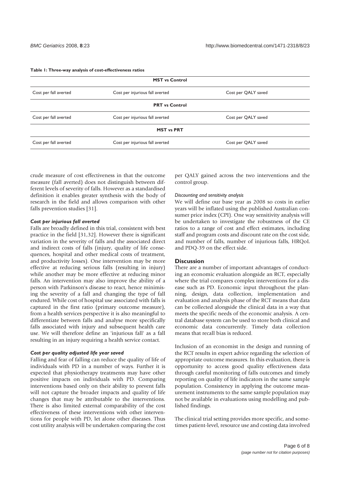|  | Table 1: Three-way analysis of cost-effectiveness ratios |
|--|----------------------------------------------------------|
|--|----------------------------------------------------------|

| <b>MST</b> vs Control                                    |                     |  |  |  |  |
|----------------------------------------------------------|---------------------|--|--|--|--|
| Cost per injurious fall averted                          | Cost per QALY saved |  |  |  |  |
| <b>PRT</b> vs Control                                    |                     |  |  |  |  |
| Cost per injurious fall averted                          | Cost per QALY saved |  |  |  |  |
| <b>MST vs PRT</b>                                        |                     |  |  |  |  |
| Cost per fall averted<br>Cost per injurious fall averted |                     |  |  |  |  |
|                                                          |                     |  |  |  |  |

crude measure of cost effectiveness in that the outcome measure (fall averted) does not distinguish between different levels of severity of falls. However as a standardised definition it enables greater synthesis with the body of research in the field and allows comparison with other falls prevention studies [31].

#### *Cost per injurious fall averted*

Falls are broadly defined in this trial, consistent with best practice in the field [31,32]. However there is significant variation in the severity of falls and the associated direct and indirect costs of falls (injury, quality of life consequences, hospital and other medical costs of treatment, and productivity losses). One intervention may be more effective at reducing serious falls (resulting in injury) while another may be more effective at reducing minor falls. An intervention may also improve the ability of a person with Parkinson's disease to react, hence minimising the severity of a fall and changing the type of fall endured. While cost of hospital use associated with falls is captured in the first ratio (primary outcome measure), from a health services perspective it is also meaningful to differentiate between falls and analyse more specifically falls associated with injury and subsequent health care use. We will therefore define an 'injurious fall' as a fall resulting in an injury requiring a health service contact.

#### *Cost per quality adjusted life year saved*

Falling and fear of falling can reduce the quality of life of individuals with PD in a number of ways. Further it is expected that physiotherapy treatments may have other positive impacts on individuals with PD. Comparing interventions based only on their ability to prevent falls will not capture the broader impacts and quality of life changes that may be attributable to the interventions. There is also limited external comparability of the cost effectiveness of these interventions with other interventions for people with PD, let alone other diseases. Thus cost utility analysis will be undertaken comparing the cost

per QALY gained across the two interventions and the control group.

#### *Discounting and sensitivity analysis*

We will define our base year as 2008 so costs in earlier years will be inflated using the published Australian consumer price index (CPI). One way sensitivity analysis will be undertaken to investigate the robustness of the CE ratios to a range of cost and effect estimates, including staff and program costs and discount rate on the cost side, and number of falls, number of injurious falls, HRQoL and PDQ-39 on the effect side.

#### **Discussion**

There are a number of important advantages of conducting an economic evaluation alongside an RCT, especially where the trial compares complex interventions for a disease such as PD. Economic input throughout the planning, design, data collection, implementation and evaluation and analysis phase of the RCT means that data can be collected alongside the clinical data in a way that meets the specific needs of the economic analysis. A central database system can be used to store both clinical and economic data concurrently. Timely data collection means that recall bias is reduced.

Inclusion of an economist in the design and running of the RCT results in expert advice regarding the selection of appropriate outcome measures. In this evaluation, there is opportunity to access good quality effectiveness data through careful monitoring of falls outcomes and timely reporting on quality of life indicators in the same sample population. Consistency in applying the outcome measurement instruments to the same sample population may not be available in evaluations using modelling and published findings.

The clinical trial setting provides more specific, and sometimes patient-level, resource use and costing data involved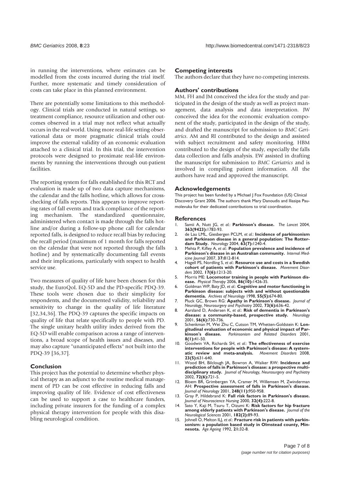in running the interventions, where estimates can be modelled from the costs incurred during the trial itself. Further, more systematic and timely consideration of costs can take place in this planned environment.

There are potentially some limitations to this methodology. Clinical trials are conducted in natural settings, so treatment compliance, resource utilization and other outcomes observed in a trial may not reflect what actually occurs in the real world. Using more real-life setting observational data or more pragmatic clinical trials could improve the external validity of an economic evaluation attached to a clinical trial. In this trial, the intervention protocols were designed to proximate real-life environments by running the interventions through out-patient facilities.

The reporting system for falls established for this RCT and evaluation is made up of two data capture mechanisms, the calendar and the falls hotline, which allows for crosschecking of falls reports. This appears to improve reporting rates of fall events and track compliance of the reporting mechanism. The standardized questionnaire, administered when contact is made through the falls hotline and/or during a follow-up phone call for calendar reported falls, is designed to reduce recall bias by reducing the recall period (maximum of 1 month for falls reported on the calendar that were not reported through the falls hotline) and by systematically documenting fall events and their implications, particularly with respect to health service use.

Two measures of quality of life have been chosen for this study, the EuroQoL EQ-5D and the PD-specific PDQ-39. These tools were chosen due to their simplicity for respondents, and the documented validity, reliability and sensitivity to change in the quality of life literature [32,34,36]. The PDQ-39 captures the specific impacts on quality of life that relate specifically to people with PD. The single unitary health utility index derived from the EQ-5D will enable comparison across a range of interventions, a broad scope of health issues and diseases, and may also capture "unanticipated effects" not built into the PDQ-39 [36,37].

#### **Conclusion**

This project has the potential to determine whether physical therapy as an adjunct to the routine medical management of PD can be cost effective in reducing falls and improving quality of life. Evidence of cost effectiveness can be used to support a case to healthcare funders, including private insurers for the funding of a complex physical therapy intervention for people with this disabling neurological condition.

#### **Competing interests**

The authors declare that they have no competing interests.

### **Authors' contributions**

MM, FH and JM conceived the idea for the study and participated in the design of the study as well as project management, data analysis and data interpretation. JW conceived the idea for the economic evaluation component of the study, participated in the design of the study, and drafted the manuscript for submission to *BMC Geriatrics*. AM and RI contributed to the design and assisted with subject recruitment and safety monitoring. HBM contributed to the design of the study, especially the falls data collection and falls analysis. EW assisted in drafting the manuscript for submission to *BMC Geriatrics* and is involved in compiling patient information. All the authors have read and approved the manuscript.

#### **Acknowledgements**

This project has been funded by a Michael | Fox Foundation (US) Clinical Discovery Grant 2006. The authors thank Mary Danoudis and Iliasipa Paumolevuka for their dedicated contributions to trial coordination.

#### **References**

- 1. Samii A, Nutt JG, *et al.*: **Parkinson's disease.** *The Lancet* 2004, **363(9423):**1783-93.
- 2. de Lau LML, Giesbergen PCLM, *et al.*: **Incidence of parkinsonism and Parkinson disease in a general population: The Rotterdam Study.** *Neurology* 2004, **63(7):**1240-4.
- 3. Mehta P, Kifley A, *et al.*: **Population prevalence and incidence of Parkinson's disease in an Australian community.** *Internal Medicine Journal* 2007, **37:**812-814.
- 4. Hagell PS, Nordling S, *et al.*: **Resource use and costs in a Swedish cohort of patients with Parkinson's disease.** *Movement Disorders* 2002, **17(6):**1213-20.
- 5. Morris ME: **Locomotor training in people with Parkinson disease.** *Physical Therapy* 2006, **86(10):**1426-35.
- 6. Goldman WP, Baty JD, *et al.*: **Cognitive and motor functioning in Parkinson disease: subjects with and without questionable dementia.** *Archives of Neurology* 1998, **55(5):**674-80.
- 7. Pluck GC, Brown RG: **Apathy in Parkinson's disease.** *Journal of Neurology, Neurosurgery and Psychiatry* 2002, **73(6):**636-42.
- 8. Aarsland D, Andersen K, *et al.*: **Risk of dementia in Parkinson's disease: a community-based, prospective study.** *Neurology* 2001, **56(6):**730-736.
- Schenkman M, Wei Zhu C, Cutson TM, Whetten-Goldstein K: Lon**gitudinal evaluation of economic and physical impact of Parkinson's disease.** *Parkinsonism and Related Disorders* 2001, **8(1):**41-50.
- 10. Goodwin VA, Richards SH, *et al.*: **The effectiveness of exercise** interventions for people with Parkinson's disease: A system-<br>atic review and meta-analysis. Movement Disorders 2008, atic review and meta-analysis. **23(5):**631-640.
- 11. Wood BH, Bilclough JA, Bowron A, Waiker RW: **Incidence and prediction of falls in Parkinson's disease: a prospective multidisciplinary study.** *Joumal of Neurology, Neurosurgery and Psychiatry* 2002, **72(6):**721-5.
- 12. Bloem BR, Grimbergen YA, Cramer M, Willemsen M, Zwinderman AH: **Prospective assessment of falls in Parkinson's disease.** *Journal of Neurology* 2001, **248(11):**950-958.
- 13. Gray P, Hildebrand K: **Fall risk factors in Parkinson's disease.** *Journal of Neuroscience Nursing* 2000, **32(4):**222-8.
- 14. Sato Y, Kaji M, Tsuru T, Oizumi K: **Risk factors for hip fracture among elderly patients with Parkinson's disease.** *Journal of the Neurological Sciences* 2001, **182(2):**89-93.
- 15. Johnell O, Melton ILJ, *et al.*: **Fracture risk in patients with parkinsonism: a population based study in Olmstead county, Minnesota.** *Age Ageing* 1992, **21:**32-8.